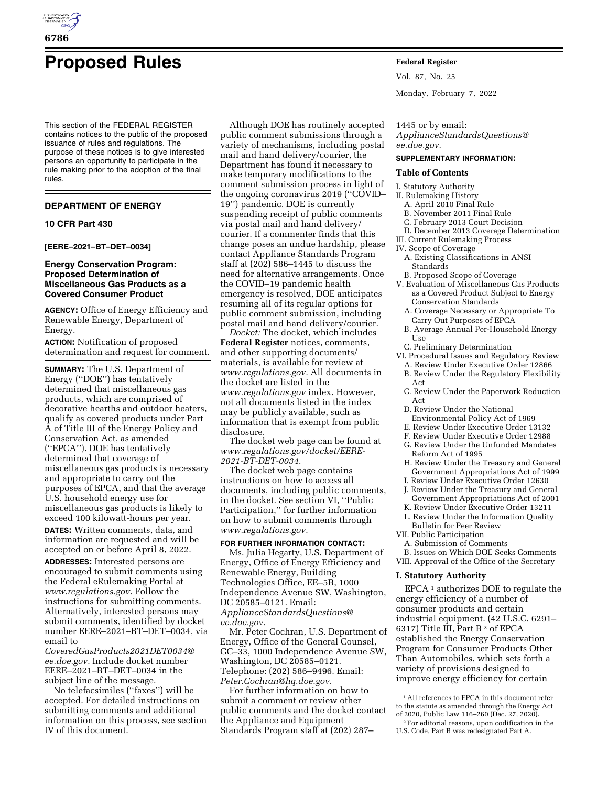

# **Proposed Rules Federal Register**

This section of the FEDERAL REGISTER contains notices to the public of the proposed issuance of rules and regulations. The purpose of these notices is to give interested persons an opportunity to participate in the rule making prior to the adoption of the final rules.

# **DEPARTMENT OF ENERGY**

#### **10 CFR Part 430**

**[EERE–2021–BT–DET–0034]** 

## **Energy Conservation Program: Proposed Determination of Miscellaneous Gas Products as a Covered Consumer Product**

**AGENCY:** Office of Energy Efficiency and Renewable Energy, Department of Energy.

**ACTION:** Notification of proposed determination and request for comment.

**SUMMARY:** The U.S. Department of Energy (''DOE'') has tentatively determined that miscellaneous gas products, which are comprised of decorative hearths and outdoor heaters, qualify as covered products under Part A of Title III of the Energy Policy and Conservation Act, as amended (''EPCA''). DOE has tentatively determined that coverage of miscellaneous gas products is necessary and appropriate to carry out the purposes of EPCA, and that the average U.S. household energy use for miscellaneous gas products is likely to exceed 100 kilowatt-hours per year.

**DATES:** Written comments, data, and information are requested and will be accepted on or before April 8, 2022.

**ADDRESSES:** Interested persons are encouraged to submit comments using the Federal eRulemaking Portal at *[www.regulations.gov.](http://www.regulations.gov)* Follow the instructions for submitting comments. Alternatively, interested persons may submit comments, identified by docket number EERE–2021–BT–DET–0034, via email to

*[CoveredGasProducts2021DET0034@](mailto:CoveredGasProducts2021DET0034@ee.doe.gov) [ee.doe.gov.](mailto:CoveredGasProducts2021DET0034@ee.doe.gov)* Include docket number EERE–2021–BT–DET–0034 in the subject line of the message.

No telefacsimiles (''faxes'') will be accepted. For detailed instructions on submitting comments and additional information on this process, see section IV of this document.

Although DOE has routinely accepted public comment submissions through a variety of mechanisms, including postal mail and hand delivery/courier, the Department has found it necessary to make temporary modifications to the comment submission process in light of the ongoing coronavirus 2019 (''COVID– 19'') pandemic. DOE is currently suspending receipt of public comments via postal mail and hand delivery/ courier. If a commenter finds that this change poses an undue hardship, please contact Appliance Standards Program staff at (202) 586–1445 to discuss the need for alternative arrangements. Once the COVID–19 pandemic health emergency is resolved, DOE anticipates resuming all of its regular options for public comment submission, including postal mail and hand delivery/courier.

*Docket:* The docket, which includes **Federal Register** notices, comments, and other supporting documents/ materials, is available for review at *[www.regulations.gov.](http://www.regulations.gov)* All documents in the docket are listed in the *[www.regulations.gov](http://www.regulations.gov)* index. However, not all documents listed in the index may be publicly available, such as information that is exempt from public disclosure.

The docket web page can be found at *[www.regulations.gov/docket/EERE-](http://www.regulations.gov/docket/EERE-2021-BT-DET-0034)[2021-BT-DET-0034.](http://www.regulations.gov/docket/EERE-2021-BT-DET-0034)* 

The docket web page contains instructions on how to access all documents, including public comments, in the docket. See section VI, ''Public Participation,'' for further information on how to submit comments through *[www.regulations.gov.](http://www.regulations.gov)* 

#### **FOR FURTHER INFORMATION CONTACT:**

Ms. Julia Hegarty, U.S. Department of Energy, Office of Energy Efficiency and Renewable Energy, Building Technologies Office, EE–5B, 1000 Independence Avenue SW, Washington, DC 20585–0121. Email: *[ApplianceStandardsQuestions@](mailto:ApplianceStandardsQuestions@ee.doe.gov) [ee.doe.gov.](mailto:ApplianceStandardsQuestions@ee.doe.gov)* 

Mr. Peter Cochran, U.S. Department of Energy, Office of the General Counsel, GC–33, 1000 Independence Avenue SW, Washington, DC 20585–0121. Telephone: (202) 586–9496. Email: *[Peter.Cochran@hq.doe.gov.](mailto:Peter.Cochran@hq.doe.gov)* 

For further information on how to submit a comment or review other public comments and the docket contact the Appliance and Equipment Standards Program staff at (202) 287–

Vol. 87, No. 25

Monday, February 7, 2022

# 1445 or by email:

## *[ApplianceStandardsQuestions@](mailto:ApplianceStandardsQuestions@ee.doe.gov) [ee.doe.gov.](mailto:ApplianceStandardsQuestions@ee.doe.gov)*

## **SUPPLEMENTARY INFORMATION:**

#### **Table of Contents**

I. Statutory Authority

- II. Rulemaking History
- A. April 2010 Final Rule
- B. November 2011 Final Rule
- C. February 2013 Court Decision
- D. December 2013 Coverage Determination III. Current Rulemaking Process
- IV. Scope of Coverage
- 
- A. Existing Classifications in ANSI Standards
- B. Proposed Scope of Coverage
- V. Evaluation of Miscellaneous Gas Products as a Covered Product Subject to Energy Conservation Standards
- A. Coverage Necessary or Appropriate To Carry Out Purposes of EPCA
- B. Average Annual Per-Household Energy Use
- C. Preliminary Determination
- VI. Procedural Issues and Regulatory Review
	- A. Review Under Executive Order 12866 B. Review Under the Regulatory Flexibility
	- Act
	- C. Review Under the Paperwork Reduction Act
	- D. Review Under the National Environmental Policy Act of 1969
	- E. Review Under Executive Order 13132
	- F. Review Under Executive Order 12988
	- G. Review Under the Unfunded Mandates Reform Act of 1995
	- H. Review Under the Treasury and General Government Appropriations Act of 1999
	- I. Review Under Executive Order 12630
	- J. Review Under the Treasury and General Government Appropriations Act of 2001
	- K. Review Under Executive Order 13211
	- L. Review Under the Information Quality
- Bulletin for Peer Review
- VII. Public Participation
	- A. Submission of Comments
- B. Issues on Which DOE Seeks Comments
- VIII. Approval of the Office of the Secretary

#### **I. Statutory Authority**

EPCA 1 authorizes DOE to regulate the energy efficiency of a number of consumer products and certain industrial equipment. (42 U.S.C. 6291– 6317) Title III, Part B 2 of EPCA established the Energy Conservation Program for Consumer Products Other Than Automobiles, which sets forth a variety of provisions designed to improve energy efficiency for certain

<sup>1</sup>All references to EPCA in this document refer to the statute as amended through the Energy Act of 2020, Public Law 116–260 (Dec. 27, 2020).

<sup>2</sup>For editorial reasons, upon codification in the U.S. Code, Part B was redesignated Part A.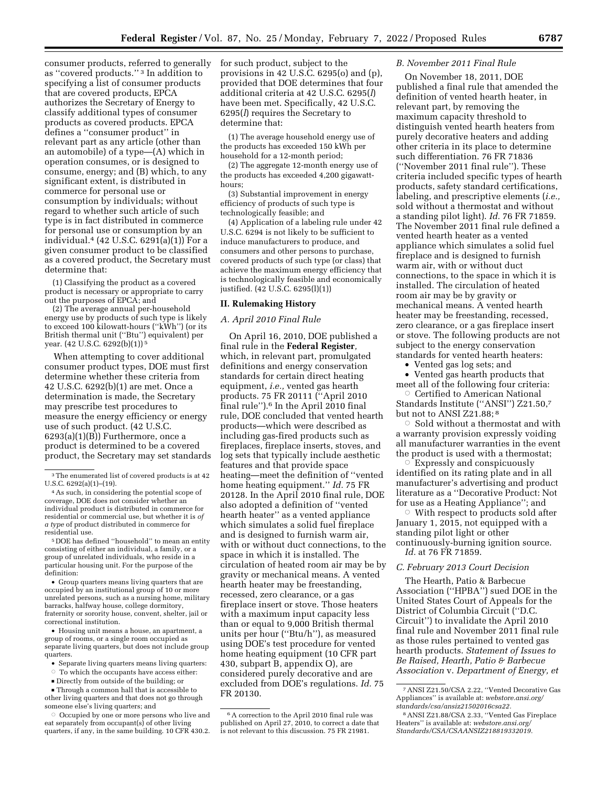consumer products, referred to generally as ''covered products.'' 3 In addition to specifying a list of consumer products that are covered products, EPCA authorizes the Secretary of Energy to classify additional types of consumer products as covered products. EPCA defines a ''consumer product'' in relevant part as any article (other than an automobile) of a type—(A) which in operation consumes, or is designed to consume, energy; and (B) which, to any significant extent, is distributed in commerce for personal use or consumption by individuals; without regard to whether such article of such type is in fact distributed in commerce for personal use or consumption by an individual.4 (42 U.S.C. 6291(a)(1)) For a given consumer product to be classified as a covered product, the Secretary must determine that:

(1) Classifying the product as a covered product is necessary or appropriate to carry out the purposes of EPCA; and

(2) The average annual per-household energy use by products of such type is likely to exceed 100 kilowatt-hours (''kWh'') (or its British thermal unit (''Btu'') equivalent) per year. (42 U.S.C. 6292(b)(1)) 5

When attempting to cover additional consumer product types, DOE must first determine whether these criteria from 42 U.S.C. 6292(b)(1) are met. Once a determination is made, the Secretary may prescribe test procedures to measure the energy efficiency or energy use of such product. (42 U.S.C. 6293(a)(1)(B)) Furthermore, once a product is determined to be a covered product, the Secretary may set standards

5 DOE has defined ''household'' to mean an entity consisting of either an individual, a family, or a group of unrelated individuals, who reside in a particular housing unit. For the purpose of the definition:

• Group quarters means living quarters that are occupied by an institutional group of 10 or more unrelated persons, such as a nursing home, military barracks, halfway house, college dormitory, fraternity or sorority house, convent, shelter, jail or correctional institution.

• Housing unit means a house, an apartment, a group of rooms, or a single room occupied as separate living quarters, but does not include group quarters.

- Separate living quarters means living quarters:
- To which the occupants have access either:
- $\blacksquare$  Directly from outside of the building; or

D Through a common hall that is accessible to other living quarters and that does not go through someone else's living quarters; and

Æ Occupied by one or more persons who live and eat separately from occupant(s) of other living quarters, if any, in the same building. 10 CFR 430.2.

for such product, subject to the provisions in 42 U.S.C. 6295(o) and (p), provided that DOE determines that four additional criteria at 42 U.S.C. 6295(*l*) have been met. Specifically, 42 U.S.C. 6295(*l*) requires the Secretary to determine that:

(1) The average household energy use of the products has exceeded 150 kWh per household for a 12-month period;

(2) The aggregate 12-month energy use of the products has exceeded 4,200 gigawatthours;

(3) Substantial improvement in energy efficiency of products of such type is technologically feasible; and

(4) Application of a labeling rule under 42 U.S.C. 6294 is not likely to be sufficient to induce manufacturers to produce, and consumers and other persons to purchase, covered products of such type (or class) that achieve the maximum energy efficiency that is technologically feasible and economically justified. (42 U.S.C. 6295(l)(1))

# **II. Rulemaking History**

#### *A. April 2010 Final Rule*

On April 16, 2010, DOE published a final rule in the **Federal Register***,*  which, in relevant part, promulgated definitions and energy conservation standards for certain direct heating equipment, *i.e.,* vented gas hearth products. 75 FR 20111 (''April 2010 final rule'').6 In the April 2010 final rule, DOE concluded that vented hearth products—which were described as including gas-fired products such as fireplaces, fireplace inserts, stoves, and log sets that typically include aesthetic features and that provide space heating—meet the definition of ''vented home heating equipment.'' *Id.* 75 FR 20128. In the April 2010 final rule, DOE also adopted a definition of ''vented hearth heater'' as a vented appliance which simulates a solid fuel fireplace and is designed to furnish warm air, with or without duct connections, to the space in which it is installed. The circulation of heated room air may be by gravity or mechanical means. A vented hearth heater may be freestanding, recessed, zero clearance, or a gas fireplace insert or stove. Those heaters with a maximum input capacity less than or equal to 9,000 British thermal units per hour (''Btu/h''), as measured using DOE's test procedure for vented home heating equipment (10 CFR part 430, subpart B, appendix O), are considered purely decorative and are excluded from DOE's regulations. *Id.* 75 FR 20130.

## *B. November 2011 Final Rule*

On November 18, 2011, DOE published a final rule that amended the definition of vented hearth heater, in relevant part, by removing the maximum capacity threshold to distinguish vented hearth heaters from purely decorative heaters and adding other criteria in its place to determine such differentiation. 76 FR 71836 (''November 2011 final rule''). These criteria included specific types of hearth products, safety standard certifications, labeling, and prescriptive elements (*i.e.,*  sold without a thermostat and without a standing pilot light). *Id.* 76 FR 71859. The November 2011 final rule defined a vented hearth heater as a vented appliance which simulates a solid fuel fireplace and is designed to furnish warm air, with or without duct connections, to the space in which it is installed. The circulation of heated room air may be by gravity or mechanical means. A vented hearth heater may be freestanding, recessed, zero clearance, or a gas fireplace insert or stove. The following products are not subject to the energy conservation standards for vented hearth heaters:

• Vented gas log sets; and

• Vented gas hearth products that meet all of the following four criteria:

 $\circ$  Certified to American National Standards Institute (''ANSI'') Z21.50,7 but not to ANSI Z21.88;<sup>8</sup>

Æ Sold without a thermostat and with a warranty provision expressly voiding all manufacturer warranties in the event the product is used with a thermostat;

 $\circ$  Expressly and conspicuously identified on its rating plate and in all manufacturer's advertising and product literature as a ''Decorative Product: Not for use as a Heating Appliance''; and

 $\circ$  With respect to products sold after January 1, 2015, not equipped with a standing pilot light or other continuously-burning ignition source. *Id.* at 76 FR 71859.

# *C. February 2013 Court Decision*

The Hearth, Patio & Barbecue Association (''HPBA'') sued DOE in the United States Court of Appeals for the District of Columbia Circuit (''D.C. Circuit'') to invalidate the April 2010 final rule and November 2011 final rule as those rules pertained to vented gas hearth products. *Statement of Issues to Be Raised, Hearth, Patio & Barbecue Association* v. *Department of Energy, et* 

<sup>3</sup>The enumerated list of covered products is at 42 U.S.C. 6292(a)(1)–(19).

<sup>4</sup>As such, in considering the potential scope of coverage, DOE does not consider whether an individual product is distributed in commerce for residential or commercial use, but whether it is *of a type* of product distributed in commerce for residential use.

<sup>6</sup>A correction to the April 2010 final rule was published on April 27, 2010, to correct a date that is not relevant to this discussion. 75 FR 21981.

<sup>7</sup>ANSI Z21.50/CSA 2.22, ''Vented Decorative Gas Appliances'' is available at: *webstore.ansi.org/ standards/csa/ansiz21502016csa22.* 

<sup>8</sup>ANSI Z21.88/CSA 2.33, ''Vented Gas Fireplace Heaters'' is available at: *webstore.ansi.org/ Standards/CSA/CSAANSIZ218819332019.*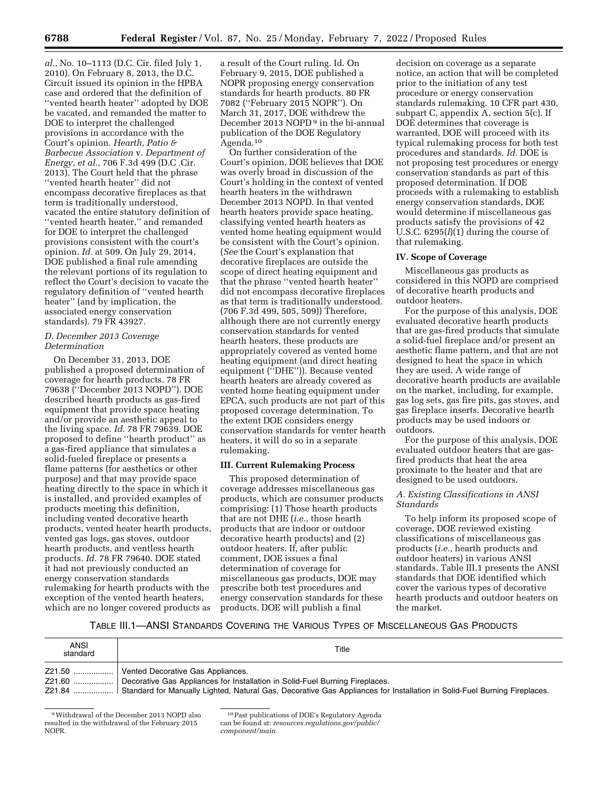*al.,* No. 10–1113 (D.C. Cir. filed July 1, 2010). On February 8, 2013, the D.C. Circuit issued its opinion in the HPBA case and ordered that the definition of ''vented hearth heater'' adopted by DOE be vacated, and remanded the matter to DOE to interpret the challenged provisions in accordance with the Court's opinion. *Hearth, Patio & Barbecue Association* v. *Department of Energy, et al.,* 706 F.3d 499 (D.C .Cir. 2013). The Court held that the phrase ''vented hearth heater'' did not encompass decorative fireplaces as that term is traditionally understood, vacated the entire statutory definition of ''vented hearth heater,'' and remanded for DOE to interpret the challenged provisions consistent with the court's opinion. *Id.* at 509. On July 29, 2014, DOE published a final rule amending the relevant portions of its regulation to reflect the Court's decision to vacate the regulatory definition of ''vented hearth heater'' (and by implication, the associated energy conservation standards). 79 FR 43927.

## *D. December 2013 Coverage Determination*

On December 31, 2013, DOE published a proposed determination of coverage for hearth products. 78 FR 79638 (''December 2013 NOPD''). DOE described hearth products as gas-fired equipment that provide space heating and/or provide an aesthetic appeal to the living space. *Id.* 78 FR 79639. DOE proposed to define ''hearth product'' as a gas-fired appliance that simulates a solid-fueled fireplace or presents a flame patterns (for aesthetics or other purpose) and that may provide space heating directly to the space in which it is installed, and provided examples of products meeting this definition, including vented decorative hearth products, vented heater hearth products, vented gas logs, gas stoves, outdoor hearth products, and ventless hearth products. *Id.* 78 FR 79640. DOE stated it had not previously conducted an energy conservation standards rulemaking for hearth products with the exception of the vented hearth heaters, which are no longer covered products as

a result of the Court ruling. Id. On February 9, 2015, DOE published a NOPR proposing energy conservation standards for hearth products. 80 FR 7082 (''February 2015 NOPR''). On March 31, 2017, DOE withdrew the December 2013 NOPD<sup>9</sup> in the bi-annual publication of the DOE Regulatory Agenda.10

On further consideration of the Court's opinion, DOE believes that DOE was overly broad in discussion of the Court's holding in the context of vented hearth heaters in the withdrawn December 2013 NOPD. In that vented hearth heaters provide space heating, classifying vented hearth heaters as vented home heating equipment would be consistent with the Court's opinion. (*See* the Court's explanation that decorative fireplaces are outside the scope of direct heating equipment and that the phrase ''vented hearth heater'' did not encompass decorative fireplaces as that term is traditionally understood. (706 F.3d 499, 505, 509)) Therefore, although there are not currently energy conservation standards for vented hearth heaters, these products are appropriately covered as vented home heating equipment (and direct heating equipment (''DHE'')). Because vented hearth heaters are already covered as vented home heating equipment under EPCA, such products are not part of this proposed coverage determination. To the extent DOE considers energy conservation standards for venter hearth heaters, it will do so in a separate rulemaking.

#### **III. Current Rulemaking Process**

This proposed determination of coverage addresses miscellaneous gas products, which are consumer products comprising: (1) Those hearth products that are not DHE (*i.e.,* those hearth products that are indoor or outdoor decorative hearth products) and (2) outdoor heaters. If, after public comment, DOE issues a final determination of coverage for miscellaneous gas products, DOE may prescribe both test procedures and energy conservation standards for these products. DOE will publish a final

decision on coverage as a separate notice, an action that will be completed prior to the initiation of any test procedure or energy conservation standards rulemaking. 10 CFR part 430, subpart C, appendix A, section 5(c). If DOE determines that coverage is warranted, DOE will proceed with its typical rulemaking process for both test procedures and standards. *Id.* DOE is not proposing test procedures or energy conservation standards as part of this proposed determination. If DOE proceeds with a rulemaking to establish energy conservation standards, DOE would determine if miscellaneous gas products satisfy the provisions of 42 U.S.C. 6295(*l*)(1) during the course of that rulemaking.

#### **IV. Scope of Coverage**

Miscellaneous gas products as considered in this NOPD are comprised of decorative hearth products and outdoor heaters.

For the purpose of this analysis, DOE evaluated decorative hearth products that are gas-fired products that simulate a solid-fuel fireplace and/or present an aesthetic flame pattern, and that are not designed to heat the space in which they are used. A wide range of decorative hearth products are available on the market, including, for example, gas log sets, gas fire pits, gas stoves, and gas fireplace inserts. Decorative hearth products may be used indoors or outdoors.

For the purpose of this analysis, DOE evaluated outdoor heaters that are gasfired products that heat the area proximate to the heater and that are designed to be used outdoors.

## *A. Existing Classifications in ANSI Standards*

To help inform its proposed scope of coverage, DOE reviewed existing classifications of miscellaneous gas products (*i.e.,* hearth products and outdoor heaters) in various ANSI standards. Table III.1 presents the ANSI standards that DOE identified which cover the various types of decorative hearth products and outdoor heaters on the market.

# TABLE III.1—ANSI STANDARDS COVERING THE VARIOUS TYPES OF MISCELLANEOUS GAS PRODUCTS

| ANSI<br>standard | Title                                                                                                                                                                                                                                                           |
|------------------|-----------------------------------------------------------------------------------------------------------------------------------------------------------------------------------------------------------------------------------------------------------------|
|                  | Vented Decorative Gas Appliances.<br>Z21.60  Decorative Gas Appliances for Installation in Solid-Fuel Burning Fireplaces.<br>Z21.84    Standard for Manually Lighted, Natural Gas, Decorative Gas Appliances for Installation in Solid-Fuel Burning Fireplaces. |

<sup>9</sup>Withdrawal of the December 2013 NOPD also resulted in the withdrawal of the February 2015 NOPR.

<sup>10</sup>Past publications of DOE's Regulatory Agenda can be found at: *resources.regulations.gov/public/ component/main.*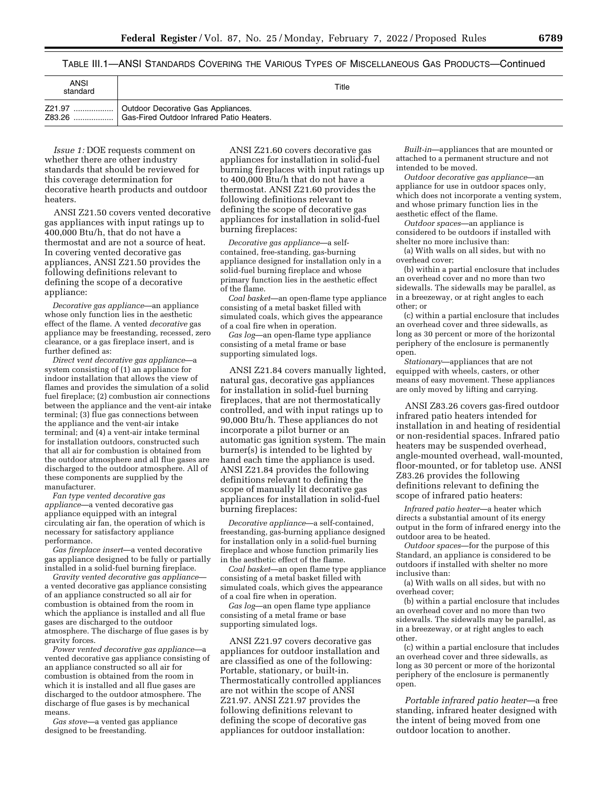TABLE III.1—ANSI STANDARDS COVERING THE VARIOUS TYPES OF MISCELLANEOUS GAS PRODUCTS—Continued

| ANSI<br>standard | Title                                                  |
|------------------|--------------------------------------------------------|
| Z21.97           | Outdoor Decorative Gas Appliances.                     |
| Z83.26           | <sup>1</sup> Gas-Fired Outdoor Infrared Patio Heaters. |

*Issue 1:* DOE requests comment on whether there are other industry standards that should be reviewed for this coverage determination for decorative hearth products and outdoor heaters.

ANSI Z21.50 covers vented decorative gas appliances with input ratings up to 400,000 Btu/h, that do not have a thermostat and are not a source of heat. In covering vented decorative gas appliances, ANSI Z21.50 provides the following definitions relevant to defining the scope of a decorative appliance:

*Decorative gas appliance*—an appliance whose only function lies in the aesthetic effect of the flame. A vented *decorative* gas appliance may be freestanding, recessed, zero clearance, or a gas fireplace insert, and is further defined as:

*Direct vent decorative gas appliance*—a system consisting of (1) an appliance for indoor installation that allows the view of flames and provides the simulation of a solid fuel fireplace; (2) combustion air connections between the appliance and the vent-air intake terminal; (3) flue gas connections between the appliance and the vent-air intake terminal; and (4) a vent-air intake terminal for installation outdoors, constructed such that all air for combustion is obtained from the outdoor atmosphere and all flue gases are discharged to the outdoor atmosphere. All of these components are supplied by the manufacturer.

*Fan type vented decorative gas appliance*—a vented decorative gas appliance equipped with an integral circulating air fan, the operation of which is necessary for satisfactory appliance performance.

*Gas fireplace insert*—a vented decorative gas appliance designed to be fully or partially installed in a solid-fuel burning fireplace.

*Gravity vented decorative gas appliance* a vented decorative gas appliance consisting of an appliance constructed so all air for combustion is obtained from the room in which the appliance is installed and all flue gases are discharged to the outdoor atmosphere. The discharge of flue gases is by gravity forces.

*Power vented decorative gas appliance*—a vented decorative gas appliance consisting of an appliance constructed so all air for combustion is obtained from the room in which it is installed and all flue gases are discharged to the outdoor atmosphere. The discharge of flue gases is by mechanical means.

*Gas stove*—a vented gas appliance designed to be freestanding.

ANSI Z21.60 covers decorative gas appliances for installation in solid-fuel burning fireplaces with input ratings up to 400,000 Btu/h that do not have a thermostat. ANSI Z21.60 provides the following definitions relevant to defining the scope of decorative gas appliances for installation in solid-fuel burning fireplaces:

*Decorative gas appliance*—a selfcontained, free-standing, gas-burning appliance designed for installation only in a solid-fuel burning fireplace and whose primary function lies in the aesthetic effect of the flame.

*Coal basket*—an open-flame type appliance consisting of a metal basket filled with simulated coals, which gives the appearance of a coal fire when in operation.

*Gas log*—an open-flame type appliance consisting of a metal frame or base supporting simulated logs.

ANSI Z21.84 covers manually lighted, natural gas, decorative gas appliances for installation in solid-fuel burning fireplaces, that are not thermostatically controlled, and with input ratings up to 90,000 Btu/h. These appliances do not incorporate a pilot burner or an automatic gas ignition system. The main burner(s) is intended to be lighted by hand each time the appliance is used. ANSI Z21.84 provides the following definitions relevant to defining the scope of manually lit decorative gas appliances for installation in solid-fuel burning fireplaces:

*Decorative appliance*—a self-contained, freestanding, gas-burning appliance designed for installation only in a solid-fuel burning fireplace and whose function primarily lies in the aesthetic effect of the flame.

*Coal basket*—an open flame type appliance consisting of a metal basket filled with simulated coals, which gives the appearance of a coal fire when in operation.

*Gas log*—an open flame type appliance consisting of a metal frame or base supporting simulated logs.

ANSI Z21.97 covers decorative gas appliances for outdoor installation and are classified as one of the following: Portable, stationary, or built-in. Thermostatically controlled appliances are not within the scope of ANSI Z21.97. ANSI Z21.97 provides the following definitions relevant to defining the scope of decorative gas appliances for outdoor installation:

*Built-in*—appliances that are mounted or attached to a permanent structure and not intended to be moved.

*Outdoor decorative gas appliance*—an appliance for use in outdoor spaces only, which does not incorporate a venting system, and whose primary function lies in the aesthetic effect of the flame.

*Outdoor spaces*—an appliance is considered to be outdoors if installed with shelter no more inclusive than:

(a) With walls on all sides, but with no overhead cover;

(b) within a partial enclosure that includes an overhead cover and no more than two sidewalls. The sidewalls may be parallel, as in a breezeway, or at right angles to each other; or

(c) within a partial enclosure that includes an overhead cover and three sidewalls, as long as 30 percent or more of the horizontal periphery of the enclosure is permanently open.

*Stationary*—appliances that are not equipped with wheels, casters, or other means of easy movement. These appliances are only moved by lifting and carrying.

ANSI Z83.26 covers gas-fired outdoor infrared patio heaters intended for installation in and heating of residential or non-residential spaces. Infrared patio heaters may be suspended overhead, angle-mounted overhead, wall-mounted, floor-mounted, or for tabletop use. ANSI Z83.26 provides the following definitions relevant to defining the scope of infrared patio heaters:

*Infrared patio heater*—a heater which directs a substantial amount of its energy output in the form of infrared energy into the outdoor area to be heated.

*Outdoor spaces*—for the purpose of this Standard, an appliance is considered to be outdoors if installed with shelter no more inclusive than:

(a) With walls on all sides, but with no overhead cover;

(b) within a partial enclosure that includes an overhead cover and no more than two sidewalls. The sidewalls may be parallel, as in a breezeway, or at right angles to each other.

(c) within a partial enclosure that includes an overhead cover and three sidewalls, as long as 30 percent or more of the horizontal periphery of the enclosure is permanently open.

*Portable infrared patio heater*—a free standing, infrared heater designed with the intent of being moved from one outdoor location to another.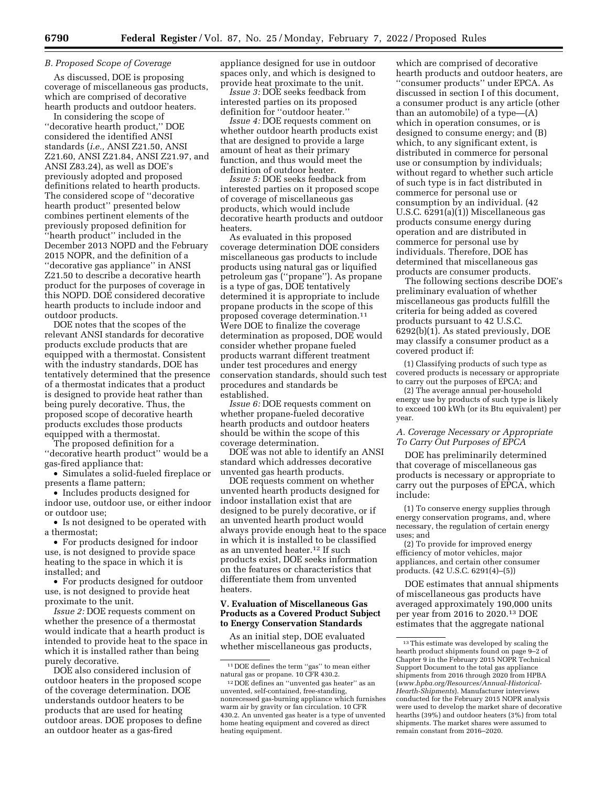#### *B. Proposed Scope of Coverage*

As discussed, DOE is proposing coverage of miscellaneous gas products, which are comprised of decorative hearth products and outdoor heaters.

In considering the scope of ''decorative hearth product,'' DOE considered the identified ANSI standards (*i.e.,* ANSI Z21.50, ANSI Z21.60, ANSI Z21.84, ANSI Z21.97, and ANSI Z83.24), as well as DOE's previously adopted and proposed definitions related to hearth products. The considered scope of ''decorative hearth product'' presented below combines pertinent elements of the previously proposed definition for ''hearth product'' included in the December 2013 NOPD and the February 2015 NOPR, and the definition of a ''decorative gas appliance'' in ANSI Z21.50 to describe a decorative hearth product for the purposes of coverage in this NOPD. DOE considered decorative hearth products to include indoor and outdoor products.

DOE notes that the scopes of the relevant ANSI standards for decorative products exclude products that are equipped with a thermostat. Consistent with the industry standards, DOE has tentatively determined that the presence of a thermostat indicates that a product is designed to provide heat rather than being purely decorative. Thus, the proposed scope of decorative hearth products excludes those products equipped with a thermostat.

The proposed definition for a ''decorative hearth product'' would be a gas-fired appliance that:

• Simulates a solid-fueled fireplace or presents a flame pattern;

• Includes products designed for indoor use, outdoor use, or either indoor or outdoor use;

• Is not designed to be operated with a thermostat;

• For products designed for indoor use, is not designed to provide space heating to the space in which it is installed; and

• For products designed for outdoor use, is not designed to provide heat proximate to the unit.

*Issue 2:* DOE requests comment on whether the presence of a thermostat would indicate that a hearth product is intended to provide heat to the space in which it is installed rather than being purely decorative.

DOE also considered inclusion of outdoor heaters in the proposed scope of the coverage determination. DOE understands outdoor heaters to be products that are used for heating outdoor areas. DOE proposes to define an outdoor heater as a gas-fired

appliance designed for use in outdoor spaces only, and which is designed to provide heat proximate to the unit.

*Issue 3:* DOE seeks feedback from interested parties on its proposed definition for ''outdoor heater.''

*Issue 4:* DOE requests comment on whether outdoor hearth products exist that are designed to provide a large amount of heat as their primary function, and thus would meet the definition of outdoor heater.

*Issue 5:* DOE seeks feedback from interested parties on it proposed scope of coverage of miscellaneous gas products, which would include decorative hearth products and outdoor heaters.

As evaluated in this proposed coverage determination DOE considers miscellaneous gas products to include products using natural gas or liquified petroleum gas (''propane''). As propane is a type of gas, DOE tentatively determined it is appropriate to include propane products in the scope of this proposed coverage determination.11 Were DOE to finalize the coverage determination as proposed, DOE would consider whether propane fueled products warrant different treatment under test procedures and energy conservation standards, should such test procedures and standards be established.

*Issue 6:* DOE requests comment on whether propane-fueled decorative hearth products and outdoor heaters should be within the scope of this coverage determination.

DOE was not able to identify an ANSI standard which addresses decorative unvented gas hearth products.

DOE requests comment on whether unvented hearth products designed for indoor installation exist that are designed to be purely decorative, or if an unvented hearth product would always provide enough heat to the space in which it is installed to be classified as an unvented heater.12 If such products exist, DOE seeks information on the features or characteristics that differentiate them from unvented heaters.

## **V. Evaluation of Miscellaneous Gas Products as a Covered Product Subject to Energy Conservation Standards**

As an initial step, DOE evaluated whether miscellaneous gas products,

which are comprised of decorative hearth products and outdoor heaters, are ''consumer products'' under EPCA. As discussed in section I of this document, a consumer product is any article (other than an automobile) of a type—(A) which in operation consumes, or is designed to consume energy; and (B) which, to any significant extent, is distributed in commerce for personal use or consumption by individuals; without regard to whether such article of such type is in fact distributed in commerce for personal use or consumption by an individual. (42 U.S.C. 6291(a)(1)) Miscellaneous gas products consume energy during operation and are distributed in commerce for personal use by individuals. Therefore, DOE has determined that miscellaneous gas products are consumer products.

The following sections describe DOE's preliminary evaluation of whether miscellaneous gas products fulfill the criteria for being added as covered products pursuant to 42 U.S.C. 6292(b)(1). As stated previously, DOE may classify a consumer product as a covered product if:

(1) Classifying products of such type as covered products is necessary or appropriate to carry out the purposes of EPCA; and

(2) The average annual per-household energy use by products of such type is likely to exceed 100 kWh (or its Btu equivalent) per year.

### *A. Coverage Necessary or Appropriate To Carry Out Purposes of EPCA*

DOE has preliminarily determined that coverage of miscellaneous gas products is necessary or appropriate to carry out the purposes of EPCA, which include:

(1) To conserve energy supplies through energy conservation programs, and, where necessary, the regulation of certain energy uses; and

(2) To provide for improved energy efficiency of motor vehicles, major appliances, and certain other consumer products. (42 U.S.C. 6291(4)–(5))

DOE estimates that annual shipments of miscellaneous gas products have averaged approximately 190,000 units per year from 2016 to 2020.13 DOE estimates that the aggregate national

<sup>11</sup> DOE defines the term ''gas'' to mean either natural gas or propane. 10 CFR 430.2.

<sup>12</sup> DOE defines an ''unvented gas heater'' as an unvented, self-contained, free-standing, nonrecessed gas-burning appliance which furnishes warm air by gravity or fan circulation. 10 CFR 430.2. An unvented gas heater is a type of unvented home heating equipment and covered as direct heating equipment.

 $^{\rm 13}$  This estimate was developed by scaling the hearth product shipments found on page 9–2 of Chapter 9 in the February 2015 NOPR Technical Support Document to the total gas appliance shipments from 2016 through 2020 from HPBA (*[www.hpba.org/Resources/Annual-Historical-](http://www.hpba.org/Resources/Annual-Historical-Hearth-Shipments)[Hearth-Shipments](http://www.hpba.org/Resources/Annual-Historical-Hearth-Shipments)*). Manufacturer interviews conducted for the February 2015 NOPR analysis were used to develop the market share of decorative hearths (39%) and outdoor heaters (3%) from total shipments. The market shares were assumed to remain constant from 2016–2020.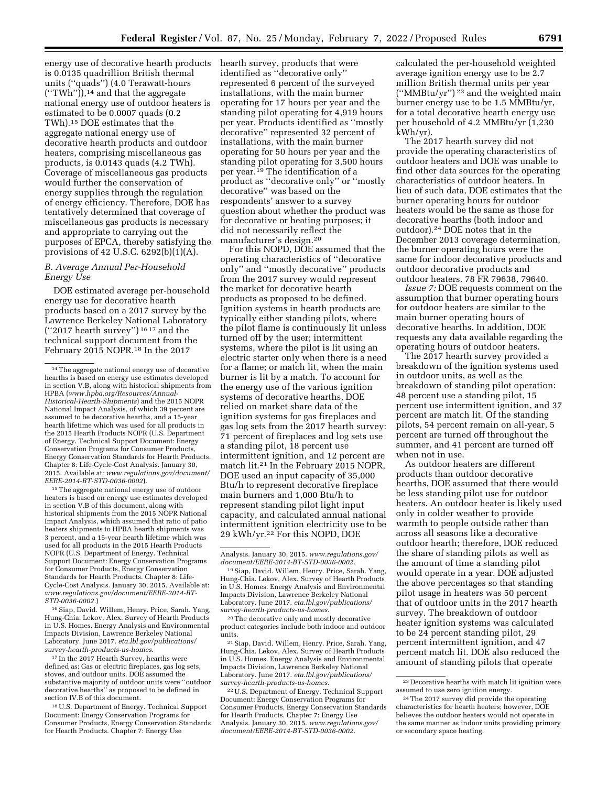energy use of decorative hearth products is 0.0135 quadrillion British thermal units (''quads'') (4.0 Terawatt-hours  $('TWh'$ )),<sup>14</sup> and that the aggregate national energy use of outdoor heaters is estimated to be 0.0007 quads (0.2 TWh).15 DOE estimates that the aggregate national energy use of decorative hearth products and outdoor heaters, comprising miscellaneous gas products, is 0.0143 quads (4.2 TWh). Coverage of miscellaneous gas products would further the conservation of energy supplies through the regulation of energy efficiency. Therefore, DOE has tentatively determined that coverage of miscellaneous gas products is necessary and appropriate to carrying out the purposes of EPCA, thereby satisfying the provisions of 42 U.S.C. 6292(b)(1)(A).

## *B. Average Annual Per-Household Energy Use*

DOE estimated average per-household energy use for decorative hearth products based on a 2017 survey by the Lawrence Berkeley National Laboratory (''2017 hearth survey'') 16 17 and the technical support document from the February 2015 NOPR.18 In the 2017

15The aggregate national energy use of outdoor heaters is based on energy use estimates developed in section V.B of this document, along with historical shipments from the 2015 NOPR National Impact Analysis, which assumed that ratio of patio heaters shipments to HPBA hearth shipments was 3 percent, and a 15-year hearth lifetime which was used for all products in the 2015 Hearth Products NOPR (U.S. Department of Energy. Technical Support Document: Energy Conservation Programs for Consumer Products, Energy Conservation Standards for Hearth Products. Chapter 8: Life-Cycle-Cost Analysis. January 30, 2015. Available at: *[www.regulations.gov/document/EERE-2014-BT-](http://www.regulations.gov/document/EERE-2014-BT-STD-0036-0002)[STD-0036-0002.](http://www.regulations.gov/document/EERE-2014-BT-STD-0036-0002)*)

16Siap, David. Willem, Henry. Price, Sarah. Yang, Hung-Chia. Lekov, Alex. Survey of Hearth Products in U.S. Homes. Energy Analysis and Environmental Impacts Division, Lawrence Berkeley National Laboratory. June 2017. *eta.lbl.gov/publications/ survey-hearth-products-us-homes*.

<sup>17</sup> In the 2017 Hearth Survey, hearths were defined as: Gas or electric fireplaces, gas log sets, stoves, and outdoor units. DOE assumed the substantive majority of outdoor units were ''outdoor decorative hearths'' as proposed to be defined in section IV.B of this document.

18U.S. Department of Energy. Technical Support Document: Energy Conservation Programs for Consumer Products, Energy Conservation Standards for Hearth Products. Chapter 7: Energy Use

hearth survey, products that were identified as ''decorative only'' represented 6 percent of the surveyed installations, with the main burner operating for 17 hours per year and the standing pilot operating for 4,919 hours per year. Products identified as ''mostly decorative'' represented 32 percent of installations, with the main burner operating for 50 hours per year and the standing pilot operating for 3,500 hours per year.19 The identification of a product as ''decorative only'' or ''mostly decorative'' was based on the respondents' answer to a survey question about whether the product was for decorative or heating purposes; it did not necessarily reflect the manufacturer's design.20

For this NOPD, DOE assumed that the operating characteristics of ''decorative only'' and ''mostly decorative'' products from the 2017 survey would represent the market for decorative hearth products as proposed to be defined. Ignition systems in hearth products are typically either standing pilots, where the pilot flame is continuously lit unless turned off by the user; intermittent systems, where the pilot is lit using an electric starter only when there is a need for a flame; or match lit, when the main burner is lit by a match. To account for the energy use of the various ignition systems of decorative hearths, DOE relied on market share data of the ignition systems for gas fireplaces and gas log sets from the 2017 hearth survey: 71 percent of fireplaces and log sets use a standing pilot, 18 percent use intermittent ignition, and 12 percent are match lit.21 In the February 2015 NOPR, DOE used an input capacity of 35,000 Btu/h to represent decorative fireplace main burners and 1,000 Btu/h to represent standing pilot light input capacity, and calculated annual national intermittent ignition electricity use to be 29 kWh/yr.22 For this NOPD, DOE

20The decorative only and mostly decorative product categories include both indoor and outdoor units.

21Siap, David. Willem, Henry. Price, Sarah. Yang, Hung-Chia. Lekov, Alex. Survey of Hearth Products in U.S. Homes. Energy Analysis and Environmental Impacts Division, Lawrence Berkeley National Laboratory. June 2017. *eta.lbl.gov/publications/ survey-hearth-products-us-homes.* 

22U.S. Department of Energy. Technical Support Document: Energy Conservation Programs for Consumer Products, Energy Conservation Standards for Hearth Products. Chapter 7: Energy Use Analysis. January 30, 2015. *[www.regulations.gov/](http://www.regulations.gov/document/EERE-2014-BT-STD-0036-0002)  [document/EERE-2014-BT-STD-0036-0002.](http://www.regulations.gov/document/EERE-2014-BT-STD-0036-0002)* 

calculated the per-household weighted average ignition energy use to be 2.7 million British thermal units per year (''MMBtu/yr'') 23 and the weighted main burner energy use to be 1.5 MMBtu/yr, for a total decorative hearth energy use per household of 4.2 MMBtu/yr (1,230 kWh/yr).

The 2017 hearth survey did not provide the operating characteristics of outdoor heaters and DOE was unable to find other data sources for the operating characteristics of outdoor heaters. In lieu of such data, DOE estimates that the burner operating hours for outdoor heaters would be the same as those for decorative hearths (both indoor and outdoor).24 DOE notes that in the December 2013 coverage determination, the burner operating hours were the same for indoor decorative products and outdoor decorative products and outdoor heaters. 78 FR 79638, 79640.

*Issue 7:* DOE requests comment on the assumption that burner operating hours for outdoor heaters are similar to the main burner operating hours of decorative hearths. In addition, DOE requests any data available regarding the operating hours of outdoor heaters.

The 2017 hearth survey provided a breakdown of the ignition systems used in outdoor units, as well as the breakdown of standing pilot operation: 48 percent use a standing pilot, 15 percent use intermittent ignition, and 37 percent are match lit. Of the standing pilots, 54 percent remain on all-year, 5 percent are turned off throughout the summer, and 41 percent are turned off when not in use.

As outdoor heaters are different products than outdoor decorative hearths, DOE assumed that there would be less standing pilot use for outdoor heaters. An outdoor heater is likely used only in colder weather to provide warmth to people outside rather than across all seasons like a decorative outdoor hearth; therefore, DOE reduced the share of standing pilots as well as the amount of time a standing pilot would operate in a year. DOE adjusted the above percentages so that standing pilot usage in heaters was 50 percent that of outdoor units in the 2017 hearth survey. The breakdown of outdoor heater ignition systems was calculated to be 24 percent standing pilot, 29 percent intermittent ignition, and 47 percent match lit. DOE also reduced the amount of standing pilots that operate

<sup>14</sup>The aggregate national energy use of decorative hearths is based on energy use estimates developed in section V.B, along with historical shipments from HPBA (*[www.hpba.org/Resources/Annual-](http://www.hpba.org/Resources/Annual-Historical-Hearth-Shipments)[Historical-Hearth-Shipments](http://www.hpba.org/Resources/Annual-Historical-Hearth-Shipments)*) and the 2015 NOPR National Impact Analysis, of which 39 percent are assumed to be decorative hearths, and a 15-year hearth lifetime which was used for all products in the 2015 Hearth Products NOPR (U.S. Department of Energy. Technical Support Document: Energy Conservation Programs for Consumer Products, Energy Conservation Standards for Hearth Products. Chapter 8: Life-Cycle-Cost Analysis. January 30, 2015. Available at: *[www.regulations.gov/document/](http://www.regulations.gov/document/EERE-2014-BT-STD-0036-0002) [EERE-2014-BT-STD-0036-0002](http://www.regulations.gov/document/EERE-2014-BT-STD-0036-0002)*).

Analysis. January 30, 2015. *[www.regulations.gov/](http://www.regulations.gov/document/EERE-2014-BT-STD-0036-0002)  [document/EERE-2014-BT-STD-0036-0002.](http://www.regulations.gov/document/EERE-2014-BT-STD-0036-0002)* 

<sup>19</sup>Siap, David. Willem, Henry. Price, Sarah. Yang, Hung-Chia. Lekov, Alex. Survey of Hearth Products in U.S. Homes. Energy Analysis and Environmental Impacts Division, Lawrence Berkeley National Laboratory. June 2017. *eta.lbl.gov/publications/ survey-hearth-products-us-homes.* 

<sup>23</sup> Decorative hearths with match lit ignition were assumed to use zero ignition energy.

<sup>24</sup>The 2017 survey did provide the operating characteristics for hearth heaters; however, DOE believes the outdoor heaters would not operate in the same manner as indoor units providing primary or secondary space heating.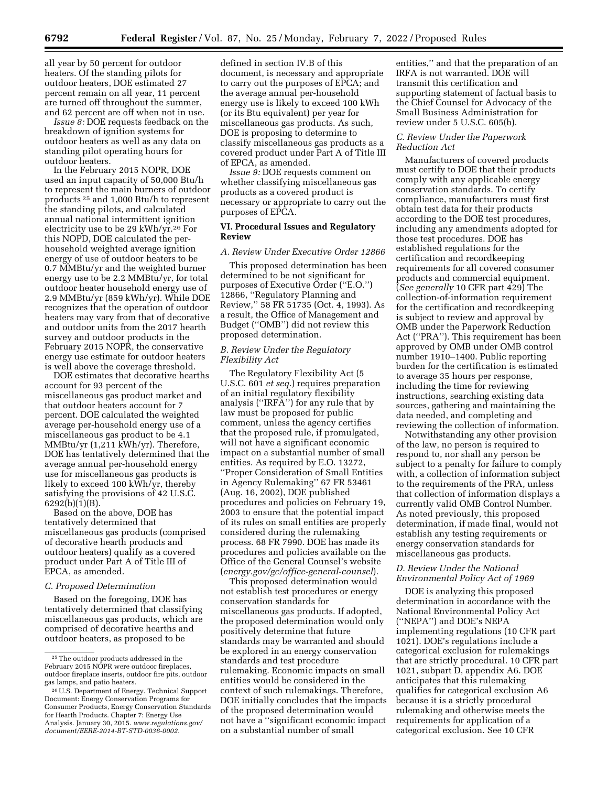all year by 50 percent for outdoor heaters. Of the standing pilots for outdoor heaters, DOE estimated 27 percent remain on all year, 11 percent are turned off throughout the summer, and 62 percent are off when not in use.

*Issue 8:* DOE requests feedback on the breakdown of ignition systems for outdoor heaters as well as any data on standing pilot operating hours for outdoor heaters.

In the February 2015 NOPR, DOE used an input capacity of 50,000 Btu/h to represent the main burners of outdoor products 25 and 1,000 Btu/h to represent the standing pilots, and calculated annual national intermittent ignition electricity use to be 29 kWh/yr.26 For this NOPD, DOE calculated the perhousehold weighted average ignition energy of use of outdoor heaters to be 0.7 MMBtu/yr and the weighted burner energy use to be 2.2 MMBtu/yr, for total outdoor heater household energy use of 2.9 MMBtu/yr (859 kWh/yr). While DOE recognizes that the operation of outdoor heaters may vary from that of decorative and outdoor units from the 2017 hearth survey and outdoor products in the February 2015 NOPR, the conservative energy use estimate for outdoor heaters is well above the coverage threshold.

DOE estimates that decorative hearths account for 93 percent of the miscellaneous gas product market and that outdoor heaters account for 7 percent. DOE calculated the weighted average per-household energy use of a miscellaneous gas product to be 4.1 MMBtu/yr (1,211 kWh/yr). Therefore, DOE has tentatively determined that the average annual per-household energy use for miscellaneous gas products is likely to exceed 100 kWh/yr, thereby satisfying the provisions of 42 U.S.C. 6292(b)(1)(B).

Based on the above, DOE has tentatively determined that miscellaneous gas products (comprised of decorative hearth products and outdoor heaters) qualify as a covered product under Part A of Title III of EPCA, as amended.

#### *C. Proposed Determination*

Based on the foregoing, DOE has tentatively determined that classifying miscellaneous gas products, which are comprised of decorative hearths and outdoor heaters, as proposed to be

defined in section IV.B of this document, is necessary and appropriate to carry out the purposes of EPCA; and the average annual per-household energy use is likely to exceed 100 kWh (or its Btu equivalent) per year for miscellaneous gas products. As such, DOE is proposing to determine to classify miscellaneous gas products as a covered product under Part A of Title III of EPCA, as amended.

*Issue 9:* DOE requests comment on whether classifying miscellaneous gas products as a covered product is necessary or appropriate to carry out the purposes of EPCA.

#### **VI. Procedural Issues and Regulatory Review**

#### *A. Review Under Executive Order 12866*

This proposed determination has been determined to be not significant for purposes of Executive Order (''E.O.'') 12866, ''Regulatory Planning and Review,'' 58 FR 51735 (Oct. 4, 1993). As a result, the Office of Management and Budget (''OMB'') did not review this proposed determination.

## *B. Review Under the Regulatory Flexibility Act*

The Regulatory Flexibility Act (5 U.S.C. 601 *et seq.*) requires preparation of an initial regulatory flexibility analysis (''IRFA'') for any rule that by law must be proposed for public comment, unless the agency certifies that the proposed rule, if promulgated, will not have a significant economic impact on a substantial number of small entities. As required by E.O. 13272, ''Proper Consideration of Small Entities in Agency Rulemaking'' 67 FR 53461 (Aug. 16, 2002), DOE published procedures and policies on February 19, 2003 to ensure that the potential impact of its rules on small entities are properly considered during the rulemaking process. 68 FR 7990. DOE has made its procedures and policies available on the Office of the General Counsel's website (*energy.gov/gc/office-general-counsel*).

This proposed determination would not establish test procedures or energy conservation standards for miscellaneous gas products. If adopted, the proposed determination would only positively determine that future standards may be warranted and should be explored in an energy conservation standards and test procedure rulemaking. Economic impacts on small entities would be considered in the context of such rulemakings. Therefore, DOE initially concludes that the impacts of the proposed determination would not have a ''significant economic impact on a substantial number of small

entities,'' and that the preparation of an IRFA is not warranted. DOE will transmit this certification and supporting statement of factual basis to the Chief Counsel for Advocacy of the Small Business Administration for review under 5 U.S.C. 605(b).

#### *C. Review Under the Paperwork Reduction Act*

Manufacturers of covered products must certify to DOE that their products comply with any applicable energy conservation standards. To certify compliance, manufacturers must first obtain test data for their products according to the DOE test procedures, including any amendments adopted for those test procedures. DOE has established regulations for the certification and recordkeeping requirements for all covered consumer products and commercial equipment. (*See generally* 10 CFR part 429) The collection-of-information requirement for the certification and recordkeeping is subject to review and approval by OMB under the Paperwork Reduction Act (''PRA''). This requirement has been approved by OMB under OMB control number 1910–1400. Public reporting burden for the certification is estimated to average 35 hours per response, including the time for reviewing instructions, searching existing data sources, gathering and maintaining the data needed, and completing and reviewing the collection of information.

Notwithstanding any other provision of the law, no person is required to respond to, nor shall any person be subject to a penalty for failure to comply with, a collection of information subject to the requirements of the PRA, unless that collection of information displays a currently valid OMB Control Number. As noted previously, this proposed determination, if made final, would not establish any testing requirements or energy conservation standards for miscellaneous gas products.

## *D. Review Under the National Environmental Policy Act of 1969*

DOE is analyzing this proposed determination in accordance with the National Environmental Policy Act (''NEPA'') and DOE's NEPA implementing regulations (10 CFR part 1021). DOE's regulations include a categorical exclusion for rulemakings that are strictly procedural. 10 CFR part 1021, subpart D, appendix A6. DOE anticipates that this rulemaking qualifies for categorical exclusion A6 because it is a strictly procedural rulemaking and otherwise meets the requirements for application of a categorical exclusion. See 10 CFR

<sup>25</sup>The outdoor products addressed in the February 2015 NOPR were outdoor fireplaces, outdoor fireplace inserts, outdoor fire pits, outdoor gas lamps, and patio heaters.

<sup>26</sup>U.S. Department of Energy. Technical Support Document: Energy Conservation Programs for Consumer Products, Energy Conservation Standards for Hearth Products. Chapter 7: Energy Use Analysis. January 30, 2015. *[www.regulations.gov/](http://www.regulations.gov/document/EERE-2014-BT-STD-0036-0002)  [document/EERE-2014-BT-STD-0036-0002.](http://www.regulations.gov/document/EERE-2014-BT-STD-0036-0002)*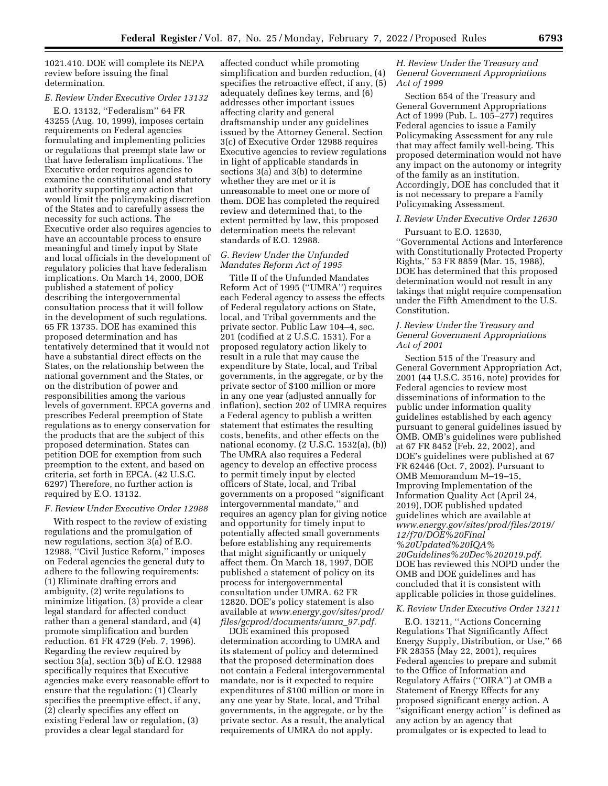1021.410. DOE will complete its NEPA review before issuing the final determination.

# *E. Review Under Executive Order 13132*

E.O. 13132, ''Federalism'' 64 FR 43255 (Aug. 10, 1999), imposes certain requirements on Federal agencies formulating and implementing policies or regulations that preempt state law or that have federalism implications. The Executive order requires agencies to examine the constitutional and statutory authority supporting any action that would limit the policymaking discretion of the States and to carefully assess the necessity for such actions. The Executive order also requires agencies to have an accountable process to ensure meaningful and timely input by State and local officials in the development of regulatory policies that have federalism implications. On March 14, 2000, DOE published a statement of policy describing the intergovernmental consultation process that it will follow in the development of such regulations. 65 FR 13735. DOE has examined this proposed determination and has tentatively determined that it would not have a substantial direct effects on the States, on the relationship between the national government and the States, or on the distribution of power and responsibilities among the various levels of government. EPCA governs and prescribes Federal preemption of State regulations as to energy conservation for the products that are the subject of this proposed determination. States can petition DOE for exemption from such preemption to the extent, and based on criteria, set forth in EPCA. (42 U.S.C. 6297) Therefore, no further action is required by E.O. 13132.

#### *F. Review Under Executive Order 12988*

With respect to the review of existing regulations and the promulgation of new regulations, section 3(a) of E.O. 12988, ''Civil Justice Reform,'' imposes on Federal agencies the general duty to adhere to the following requirements: (1) Eliminate drafting errors and ambiguity, (2) write regulations to minimize litigation, (3) provide a clear legal standard for affected conduct rather than a general standard, and (4) promote simplification and burden reduction. 61 FR 4729 (Feb. 7, 1996). Regarding the review required by section 3(a), section 3(b) of E.O. 12988 specifically requires that Executive agencies make every reasonable effort to ensure that the regulation: (1) Clearly specifies the preemptive effect, if any, (2) clearly specifies any effect on existing Federal law or regulation, (3) provides a clear legal standard for

affected conduct while promoting simplification and burden reduction, (4) specifies the retroactive effect, if any, (5) adequately defines key terms, and (6) addresses other important issues affecting clarity and general draftsmanship under any guidelines issued by the Attorney General. Section 3(c) of Executive Order 12988 requires Executive agencies to review regulations in light of applicable standards in sections 3(a) and 3(b) to determine whether they are met or it is unreasonable to meet one or more of them. DOE has completed the required review and determined that, to the extent permitted by law, this proposed determination meets the relevant standards of E.O. 12988.

## *G. Review Under the Unfunded Mandates Reform Act of 1995*

Title II of the Unfunded Mandates Reform Act of 1995 (''UMRA'') requires each Federal agency to assess the effects of Federal regulatory actions on State, local, and Tribal governments and the private sector. Public Law 104–4, sec. 201 (codified at 2 U.S.C. 1531). For a proposed regulatory action likely to result in a rule that may cause the expenditure by State, local, and Tribal governments, in the aggregate, or by the private sector of \$100 million or more in any one year (adjusted annually for inflation), section 202 of UMRA requires a Federal agency to publish a written statement that estimates the resulting costs, benefits, and other effects on the national economy. (2 U.S.C. 1532(a), (b)) The UMRA also requires a Federal agency to develop an effective process to permit timely input by elected officers of State, local, and Tribal governments on a proposed ''significant intergovernmental mandate,'' and requires an agency plan for giving notice and opportunity for timely input to potentially affected small governments before establishing any requirements that might significantly or uniquely affect them. On March 18, 1997, DOE published a statement of policy on its process for intergovernmental consultation under UMRA. 62 FR 12820. DOE's policy statement is also available at *[www.energy.gov/sites/prod/](http://www.energy.gov/sites/prod/files/gcprod/documents/umra_97.pdf)  [files/gcprod/documents/umra](http://www.energy.gov/sites/prod/files/gcprod/documents/umra_97.pdf)*\_*97.pdf.* 

DOE examined this proposed determination according to UMRA and its statement of policy and determined that the proposed determination does not contain a Federal intergovernmental mandate, nor is it expected to require expenditures of \$100 million or more in any one year by State, local, and Tribal governments, in the aggregate, or by the private sector. As a result, the analytical requirements of UMRA do not apply.

## *H. Review Under the Treasury and General Government Appropriations Act of 1999*

Section 654 of the Treasury and General Government Appropriations Act of 1999 (Pub. L. 105–277) requires Federal agencies to issue a Family Policymaking Assessment for any rule that may affect family well-being. This proposed determination would not have any impact on the autonomy or integrity of the family as an institution. Accordingly, DOE has concluded that it is not necessary to prepare a Family Policymaking Assessment.

#### *I. Review Under Executive Order 12630*

Pursuant to E.O. 12630, ''Governmental Actions and Interference with Constitutionally Protected Property Rights,'' 53 FR 8859 (Mar. 15, 1988), DOE has determined that this proposed determination would not result in any takings that might require compensation under the Fifth Amendment to the U.S. Constitution.

## *J. Review Under the Treasury and General Government Appropriations Act of 2001*

Section 515 of the Treasury and General Government Appropriation Act, 2001 (44 U.S.C. 3516, note) provides for Federal agencies to review most disseminations of information to the public under information quality guidelines established by each agency pursuant to general guidelines issued by OMB. OMB's guidelines were published at 67 FR 8452 (Feb. 22, 2002), and DOE's guidelines were published at 67 FR 62446 (Oct. 7, 2002). Pursuant to OMB Memorandum M–19–15, Improving Implementation of the Information Quality Act (April 24, 2019), DOE published updated guidelines which are available at *[www.energy.gov/sites/prod/files/2019/](http://www.energy.gov/sites/prod/files/2019/12/f70/DOE%20Final%20Updated%20IQA%20Guidelines%20Dec%202019.pdf) [12/f70/DOE%20Final](http://www.energy.gov/sites/prod/files/2019/12/f70/DOE%20Final%20Updated%20IQA%20Guidelines%20Dec%202019.pdf) [%20Updated%20IQA%](http://www.energy.gov/sites/prod/files/2019/12/f70/DOE%20Final%20Updated%20IQA%20Guidelines%20Dec%202019.pdf) [20Guidelines%20Dec%202019.pdf.](http://www.energy.gov/sites/prod/files/2019/12/f70/DOE%20Final%20Updated%20IQA%20Guidelines%20Dec%202019.pdf)*  DOE has reviewed this NOPD under the OMB and DOE guidelines and has concluded that it is consistent with applicable policies in those guidelines.

#### *K. Review Under Executive Order 13211*

E.O. 13211, ''Actions Concerning Regulations That Significantly Affect Energy Supply, Distribution, or Use,'' 66 FR 28355 (May 22, 2001), requires Federal agencies to prepare and submit to the Office of Information and Regulatory Affairs (''OIRA'') at OMB a Statement of Energy Effects for any proposed significant energy action. A ''significant energy action'' is defined as any action by an agency that promulgates or is expected to lead to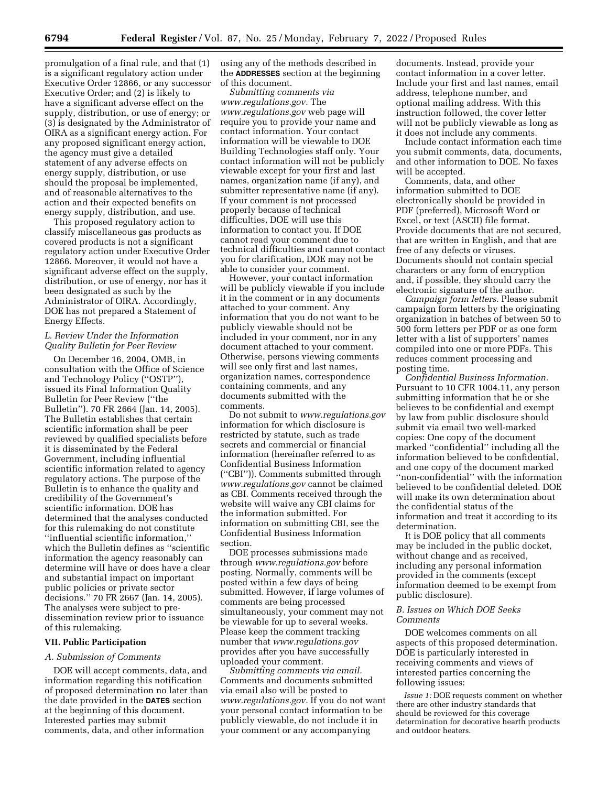promulgation of a final rule, and that (1) is a significant regulatory action under Executive Order 12866, or any successor Executive Order; and (2) is likely to have a significant adverse effect on the supply, distribution, or use of energy; or (3) is designated by the Administrator of OIRA as a significant energy action. For any proposed significant energy action, the agency must give a detailed statement of any adverse effects on energy supply, distribution, or use should the proposal be implemented, and of reasonable alternatives to the action and their expected benefits on energy supply, distribution, and use.

This proposed regulatory action to classify miscellaneous gas products as covered products is not a significant regulatory action under Executive Order 12866. Moreover, it would not have a significant adverse effect on the supply, distribution, or use of energy, nor has it been designated as such by the Administrator of OIRA. Accordingly, DOE has not prepared a Statement of Energy Effects.

# *L. Review Under the Information Quality Bulletin for Peer Review*

On December 16, 2004, OMB, in consultation with the Office of Science and Technology Policy (''OSTP''), issued its Final Information Quality Bulletin for Peer Review (''the Bulletin''). 70 FR 2664 (Jan. 14, 2005). The Bulletin establishes that certain scientific information shall be peer reviewed by qualified specialists before it is disseminated by the Federal Government, including influential scientific information related to agency regulatory actions. The purpose of the Bulletin is to enhance the quality and credibility of the Government's scientific information. DOE has determined that the analyses conducted for this rulemaking do not constitute ''influential scientific information,'' which the Bulletin defines as ''scientific information the agency reasonably can determine will have or does have a clear and substantial impact on important public policies or private sector decisions.'' 70 FR 2667 (Jan. 14, 2005). The analyses were subject to predissemination review prior to issuance of this rulemaking.

### **VII. Public Participation**

#### *A. Submission of Comments*

DOE will accept comments, data, and information regarding this notification of proposed determination no later than the date provided in the **DATES** section at the beginning of this document. Interested parties may submit comments, data, and other information

using any of the methods described in the **ADDRESSES** section at the beginning of this document.

*Submitting comments via [www.regulations.gov.](http://www.regulations.gov)* The *[www.regulations.gov](http://www.regulations.gov)* web page will require you to provide your name and contact information. Your contact information will be viewable to DOE Building Technologies staff only. Your contact information will not be publicly viewable except for your first and last names, organization name (if any), and submitter representative name (if any). If your comment is not processed properly because of technical difficulties, DOE will use this information to contact you. If DOE cannot read your comment due to technical difficulties and cannot contact you for clarification, DOE may not be able to consider your comment.

However, your contact information will be publicly viewable if you include it in the comment or in any documents attached to your comment. Any information that you do not want to be publicly viewable should not be included in your comment, nor in any document attached to your comment. Otherwise, persons viewing comments will see only first and last names, organization names, correspondence containing comments, and any documents submitted with the comments.

Do not submit to *[www.regulations.gov](http://www.regulations.gov)*  information for which disclosure is restricted by statute, such as trade secrets and commercial or financial information (hereinafter referred to as Confidential Business Information (''CBI'')). Comments submitted through *[www.regulations.gov](http://www.regulations.gov)* cannot be claimed as CBI. Comments received through the website will waive any CBI claims for the information submitted. For information on submitting CBI, see the Confidential Business Information section.

DOE processes submissions made through *[www.regulations.gov](http://www.regulations.gov)* before posting. Normally, comments will be posted within a few days of being submitted. However, if large volumes of comments are being processed simultaneously, your comment may not be viewable for up to several weeks. Please keep the comment tracking number that *[www.regulations.gov](http://www.regulations.gov)*  provides after you have successfully uploaded your comment.

*Submitting comments via email.*  Comments and documents submitted via email also will be posted to *[www.regulations.gov.](http://www.regulations.gov)* If you do not want your personal contact information to be publicly viewable, do not include it in your comment or any accompanying

documents. Instead, provide your contact information in a cover letter. Include your first and last names, email address, telephone number, and optional mailing address. With this instruction followed, the cover letter will not be publicly viewable as long as it does not include any comments.

Include contact information each time you submit comments, data, documents, and other information to DOE. No faxes will be accepted.

Comments, data, and other information submitted to DOE electronically should be provided in PDF (preferred), Microsoft Word or Excel, or text (ASCII) file format. Provide documents that are not secured, that are written in English, and that are free of any defects or viruses. Documents should not contain special characters or any form of encryption and, if possible, they should carry the electronic signature of the author.

*Campaign form letters.* Please submit campaign form letters by the originating organization in batches of between 50 to 500 form letters per PDF or as one form letter with a list of supporters' names compiled into one or more PDFs. This reduces comment processing and posting time.

*Confidential Business Information.*  Pursuant to 10 CFR 1004.11, any person submitting information that he or she believes to be confidential and exempt by law from public disclosure should submit via email two well-marked copies: One copy of the document marked ''confidential'' including all the information believed to be confidential, and one copy of the document marked ''non-confidential'' with the information believed to be confidential deleted. DOE will make its own determination about the confidential status of the information and treat it according to its determination.

It is DOE policy that all comments may be included in the public docket, without change and as received, including any personal information provided in the comments (except information deemed to be exempt from public disclosure).

## *B. Issues on Which DOE Seeks Comments*

DOE welcomes comments on all aspects of this proposed determination. DOE is particularly interested in receiving comments and views of interested parties concerning the following issues:

*Issue 1:* DOE requests comment on whether there are other industry standards that should be reviewed for this coverage determination for decorative hearth products and outdoor heaters.